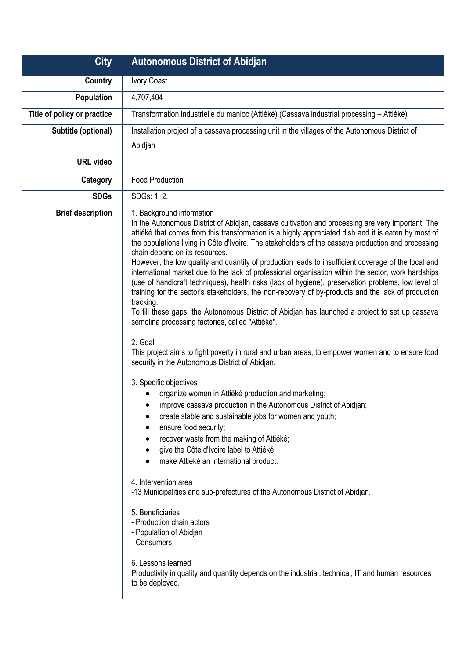| <b>City</b>                 | <b>Autonomous District of Abidjan</b>                                                                                                                                                                                                                                                                                                                                                                                                                                                                                                                                                                                                                                                                                                                                                                                                                                                                                                                                                                                                                                                                                                                                                                                                                                                                                                                                                                                                                                                                                                                                                                                                                                                                                                                                                                                                                                         |
|-----------------------------|-------------------------------------------------------------------------------------------------------------------------------------------------------------------------------------------------------------------------------------------------------------------------------------------------------------------------------------------------------------------------------------------------------------------------------------------------------------------------------------------------------------------------------------------------------------------------------------------------------------------------------------------------------------------------------------------------------------------------------------------------------------------------------------------------------------------------------------------------------------------------------------------------------------------------------------------------------------------------------------------------------------------------------------------------------------------------------------------------------------------------------------------------------------------------------------------------------------------------------------------------------------------------------------------------------------------------------------------------------------------------------------------------------------------------------------------------------------------------------------------------------------------------------------------------------------------------------------------------------------------------------------------------------------------------------------------------------------------------------------------------------------------------------------------------------------------------------------------------------------------------------|
| Country                     | Ivory Coast                                                                                                                                                                                                                                                                                                                                                                                                                                                                                                                                                                                                                                                                                                                                                                                                                                                                                                                                                                                                                                                                                                                                                                                                                                                                                                                                                                                                                                                                                                                                                                                                                                                                                                                                                                                                                                                                   |
| Population                  | 4,707,404                                                                                                                                                                                                                                                                                                                                                                                                                                                                                                                                                                                                                                                                                                                                                                                                                                                                                                                                                                                                                                                                                                                                                                                                                                                                                                                                                                                                                                                                                                                                                                                                                                                                                                                                                                                                                                                                     |
| Title of policy or practice | Transformation industrielle du manioc (Attiéké) (Cassava industrial processing – Attiéké)                                                                                                                                                                                                                                                                                                                                                                                                                                                                                                                                                                                                                                                                                                                                                                                                                                                                                                                                                                                                                                                                                                                                                                                                                                                                                                                                                                                                                                                                                                                                                                                                                                                                                                                                                                                     |
| Subtitle (optional)         | Installation project of a cassava processing unit in the villages of the Autonomous District of                                                                                                                                                                                                                                                                                                                                                                                                                                                                                                                                                                                                                                                                                                                                                                                                                                                                                                                                                                                                                                                                                                                                                                                                                                                                                                                                                                                                                                                                                                                                                                                                                                                                                                                                                                               |
|                             | Abidjan                                                                                                                                                                                                                                                                                                                                                                                                                                                                                                                                                                                                                                                                                                                                                                                                                                                                                                                                                                                                                                                                                                                                                                                                                                                                                                                                                                                                                                                                                                                                                                                                                                                                                                                                                                                                                                                                       |
| <b>URL video</b>            |                                                                                                                                                                                                                                                                                                                                                                                                                                                                                                                                                                                                                                                                                                                                                                                                                                                                                                                                                                                                                                                                                                                                                                                                                                                                                                                                                                                                                                                                                                                                                                                                                                                                                                                                                                                                                                                                               |
| Category                    | <b>Food Production</b>                                                                                                                                                                                                                                                                                                                                                                                                                                                                                                                                                                                                                                                                                                                                                                                                                                                                                                                                                                                                                                                                                                                                                                                                                                                                                                                                                                                                                                                                                                                                                                                                                                                                                                                                                                                                                                                        |
| <b>SDGs</b>                 | SDGs: 1, 2.                                                                                                                                                                                                                                                                                                                                                                                                                                                                                                                                                                                                                                                                                                                                                                                                                                                                                                                                                                                                                                                                                                                                                                                                                                                                                                                                                                                                                                                                                                                                                                                                                                                                                                                                                                                                                                                                   |
| <b>Brief description</b>    | 1. Background information<br>In the Autonomous District of Abidjan, cassava cultivation and processing are very important. The<br>attiéké that comes from this transformation is a highly appreciated dish and it is eaten by most of<br>the populations living in Côte d'Ivoire. The stakeholders of the cassava production and processing<br>chain depend on its resources.<br>However, the low quality and quantity of production leads to insufficient coverage of the local and<br>international market due to the lack of professional organisation within the sector, work hardships<br>(use of handicraft techniques), health risks (lack of hygiene), preservation problems, low level of<br>training for the sector's stakeholders, the non-recovery of by-products and the lack of production<br>tracking.<br>To fill these gaps, the Autonomous District of Abidjan has launched a project to set up cassava<br>semolina processing factories, called "Attiéké".<br>2. Goal<br>This project aims to fight poverty in rural and urban areas, to empower women and to ensure food<br>security in the Autonomous District of Abidjan.<br>3. Specific objectives<br>organize women in Attiéké production and marketing;<br>improve cassava production in the Autonomous District of Abidjan;<br>create stable and sustainable jobs for women and youth;<br>ensure food security;<br>recover waste from the making of Attiéké;<br>give the Côte d'Ivoire label to Attiéké;<br>make Attiéké an international product.<br>4. Intervention area<br>-13 Municipalities and sub-prefectures of the Autonomous District of Abidjan.<br>5. Beneficiaries<br>- Production chain actors<br>- Population of Abidjan<br>- Consumers<br>6. Lessons learned<br>Productivity in quality and quantity depends on the industrial, technical, IT and human resources<br>to be deployed. |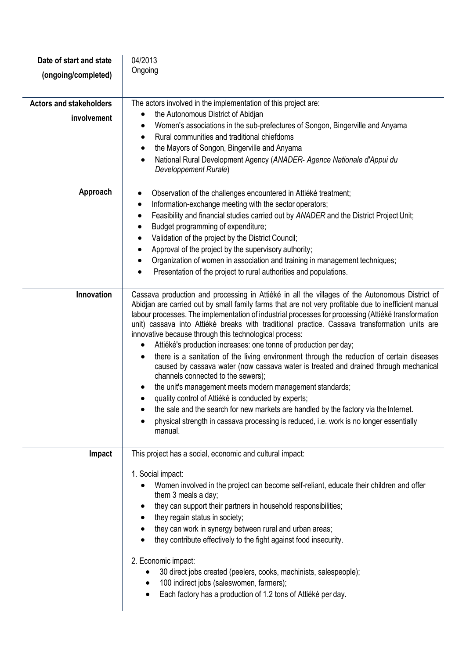| Date of start and state<br>(ongoing/completed) | 04/2013<br>Ongoing                                                                                                                                                                                                                                                                                                                                                                                                                                                                                                                                                                                                                                                                                                                                                                                                                                                                                                                                                                                                                                                                                   |
|------------------------------------------------|------------------------------------------------------------------------------------------------------------------------------------------------------------------------------------------------------------------------------------------------------------------------------------------------------------------------------------------------------------------------------------------------------------------------------------------------------------------------------------------------------------------------------------------------------------------------------------------------------------------------------------------------------------------------------------------------------------------------------------------------------------------------------------------------------------------------------------------------------------------------------------------------------------------------------------------------------------------------------------------------------------------------------------------------------------------------------------------------------|
| <b>Actors and stakeholders</b><br>involvement  | The actors involved in the implementation of this project are:<br>the Autonomous District of Abidjan<br>Women's associations in the sub-prefectures of Songon, Bingerville and Anyama<br>Rural communities and traditional chiefdoms<br>$\bullet$<br>the Mayors of Songon, Bingerville and Anyama<br>٠<br>National Rural Development Agency (ANADER- Agence Nationale d'Appui du<br>$\bullet$<br>Developpement Rurale)                                                                                                                                                                                                                                                                                                                                                                                                                                                                                                                                                                                                                                                                               |
| Approach                                       | Observation of the challenges encountered in Attiéké treatment;<br>$\bullet$<br>Information-exchange meeting with the sector operators;<br>Feasibility and financial studies carried out by ANADER and the District Project Unit;<br>٠<br>Budget programming of expenditure;<br>Validation of the project by the District Council;<br>Approval of the project by the supervisory authority;<br>Organization of women in association and training in management techniques;<br>Presentation of the project to rural authorities and populations.                                                                                                                                                                                                                                                                                                                                                                                                                                                                                                                                                      |
| Innovation                                     | Cassava production and processing in Attiéké in all the villages of the Autonomous District of<br>Abidjan are carried out by small family farms that are not very profitable due to inefficient manual<br>labour processes. The implementation of industrial processes for processing (Attiéké transformation<br>unit) cassava into Attiéké breaks with traditional practice. Cassava transformation units are<br>innovative because through this technological process:<br>Attiéké's production increases: one tonne of production per day;<br>there is a sanitation of the living environment through the reduction of certain diseases<br>caused by cassava water (now cassava water is treated and drained through mechanical<br>channels connected to the sewers);<br>the unit's management meets modern management standards;<br>quality control of Attiéké is conducted by experts;<br>$\bullet$<br>the sale and the search for new markets are handled by the factory via the Internet.<br>physical strength in cassava processing is reduced, i.e. work is no longer essentially<br>manual. |
| Impact                                         | This project has a social, economic and cultural impact:<br>1. Social impact:<br>Women involved in the project can become self-reliant, educate their children and offer<br>them 3 meals a day;<br>they can support their partners in household responsibilities;<br>they regain status in society;<br>they can work in synergy between rural and urban areas;<br>they contribute effectively to the fight against food insecurity.<br>2. Economic impact:<br>30 direct jobs created (peelers, cooks, machinists, salespeople);<br>100 indirect jobs (saleswomen, farmers);<br>Each factory has a production of 1.2 tons of Attiéké per day.                                                                                                                                                                                                                                                                                                                                                                                                                                                         |